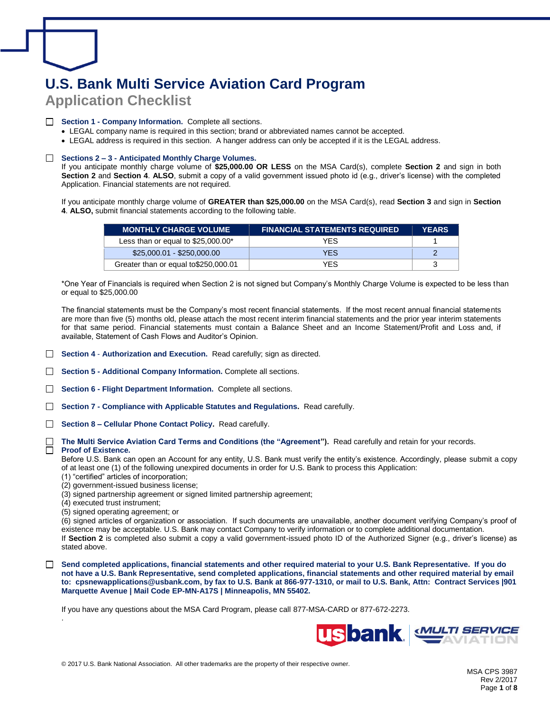# **U.S. Bank Multi Service Aviation Card Program Application Checklist**

## □ Section 1 - Company Information. Complete all sections.

- LEGAL company name is required in this section; brand or abbreviated names cannot be accepted.
- LEGAL address is required in this section. A hanger address can only be accepted if it is the LEGAL address.

## □ Sections 2 – 3 - Anticipated Monthly Charge Volumes.

 **Section 2** and **Section 4**. **ALSO**, submit a copy of a valid government issued photo id (e.g., driver's license) with the completed Application. Financial statements are not required. If you anticipate monthly charge volume of **[\\$25,000.00](https://25,000.00) OR LESS** on the MSA Card(s), complete **Section 2** and sign in both

 **4**. **ALSO,** submit financial statements according to the following table. If you anticipate monthly charge volume of **GREATER than [\\$25,000.00](https://25,000.00)** on the MSA Card(s), read **Section 3** and sign in **Section** 

| <b>MONTHLY CHARGE VOLUME</b>          | <b>FINANCIAL STATEMENTS REQUIRED</b> | <b>YEARS</b> |
|---------------------------------------|--------------------------------------|--------------|
| Less than or equal to $$25,000.00^*$  | YFS.                                 |              |
| $$25,000.01 - $250,000.00$            | <b>YFS</b>                           |              |
| Greater than or equal to \$250,000.01 | <b>YFS</b>                           |              |

 \*One Year of Financials is required when Section 2 is not signed but Company's Monthly Charge Volume is expected to be less than or equal to \$[25,000.00](https://25,000.00)

 The financial statements must be the Company's most recent financial statements. If the most recent annual financial statements are more than five (5) months old, please attach the most recent interim financial statements and the prior year interim statements for that same period. Financial statements must contain a Balance Sheet and an Income Statement/Profit and Loss and, if available, Statement of Cash Flows and Auditor's Opinion.

□ **Section 4 - Authorization and Execution.** Read carefully; sign as directed.

□ Section 5 - Additional Company Information. Complete all sections.

□ Section 6 - Flight Department Information. Complete all sections.

□ Section 7 - Compliance with Applicable Statutes and Regulations. Read carefully.

□ Section 8 – Cellular Phone Contact Policy. Read carefully.

 □ **The Multi Service Aviation Card Terms and Conditions (the "Agreement").** Read carefully and retain for your records.

#### **Proof of Existence.**  □

.

 Before U.S. Bank can open an Account for any entity, U.S. Bank must verify the entity's existence. Accordingly, please submit a copy of at least one (1) of the following unexpired documents in order for U.S. Bank to process this Application:

- (1) "certified" articles of incorporation;
- (2) government-issued business license;
- (3) signed partnership agreement or signed limited partnership agreement;
- (4) executed trust instrument;
- (5) signed operating agreement; or

 (6) signed articles of organization or association. If such documents are unavailable, another document verifying Company's proof of existence may be acceptable. U.S. Bank may contact Company to verify information or to complete additional documentation.

 If **Section 2** is completed also submit a copy a valid government-issued photo ID of the Authorized Signer (e.g., driver's license) as stated above.

□ Send completed applications, financial statements and other required material to your U.S. Bank Representative. If you do  **not have a U.S. Bank Representative, send completed applications, financial statements and other required material by email to: [cpsnewapplications@usbank.com,](mailto:cpsnewapplications@usbank.com) by fax to U.S. Bank at 866-977-1310, or mail to U.S. Bank, Attn: Contract Services |901 Marquette Avenue | Mail Code EP-MN-A17S | Minneapolis, MN 55402.** 

If you have any questions about the MSA Card Program, please call 877-MSA-CARD or 877-672-2273.

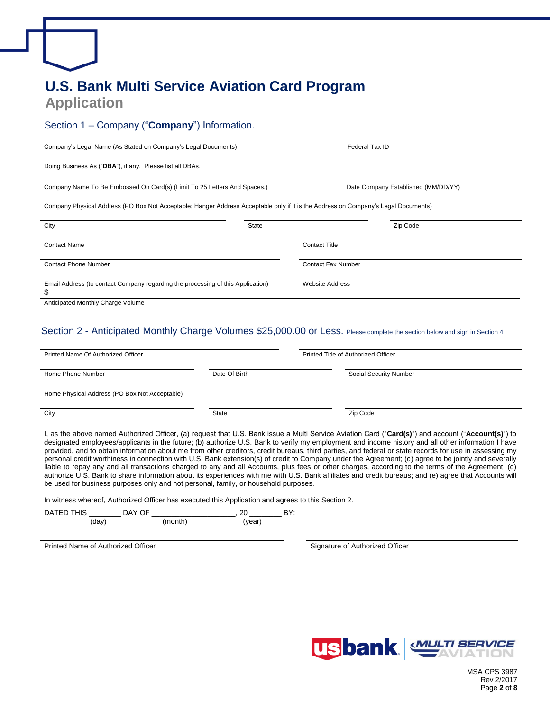# **Application U.S. Bank Multi Service Aviation Card Program**

## Section 1 – Company ("**Company**") Information.

| Company's Legal Name (As Stated on Company's Legal Documents)                                                                      | Federal Tax ID                      |
|------------------------------------------------------------------------------------------------------------------------------------|-------------------------------------|
| Doing Business As ("DBA"), if any. Please list all DBAs.                                                                           |                                     |
| Company Name To Be Embossed On Card(s) (Limit To 25 Letters And Spaces.)                                                           | Date Company Established (MM/DD/YY) |
| Company Physical Address (PO Box Not Acceptable; Hanger Address Acceptable only if it is the Address on Company's Legal Documents) |                                     |
| City<br>State                                                                                                                      | Zip Code                            |
| <b>Contact Name</b>                                                                                                                | <b>Contact Title</b>                |
| <b>Contact Phone Number</b>                                                                                                        | <b>Contact Fax Number</b>           |
| Email Address (to contact Company regarding the processing of this Application)<br>\$                                              | <b>Website Address</b>              |
| Anticipated Monthly Charge Volume                                                                                                  |                                     |

## Section 2 - Anticipated Monthly Charge Volumes \$[25,000.00](https://25,000.00) or Less. Please complete the section below and sign in Section 4.

| Printed Name Of Authorized Officer<br>Printed Title of Authorized Officer                                                                                                                 |               |                                                                                                                                                                                                                                                                                                                                                                                                                                                                                                                                                                                                                                                                                                                                                                                                                                                                                                                                           |
|-------------------------------------------------------------------------------------------------------------------------------------------------------------------------------------------|---------------|-------------------------------------------------------------------------------------------------------------------------------------------------------------------------------------------------------------------------------------------------------------------------------------------------------------------------------------------------------------------------------------------------------------------------------------------------------------------------------------------------------------------------------------------------------------------------------------------------------------------------------------------------------------------------------------------------------------------------------------------------------------------------------------------------------------------------------------------------------------------------------------------------------------------------------------------|
| Home Phone Number                                                                                                                                                                         | Date Of Birth | Social Security Number                                                                                                                                                                                                                                                                                                                                                                                                                                                                                                                                                                                                                                                                                                                                                                                                                                                                                                                    |
| Home Physical Address (PO Box Not Acceptable)                                                                                                                                             |               |                                                                                                                                                                                                                                                                                                                                                                                                                                                                                                                                                                                                                                                                                                                                                                                                                                                                                                                                           |
| City                                                                                                                                                                                      | State         | Zip Code                                                                                                                                                                                                                                                                                                                                                                                                                                                                                                                                                                                                                                                                                                                                                                                                                                                                                                                                  |
| be used for business purposes only and not personal, family, or household purposes.<br>In witness whereof, Authorized Officer has executed this Application and agrees to this Section 2. |               | l, as the above named Authorized Officer, (a) request that U.S. Bank issue a Multi Service Aviation Card ("Card(s)") and account ("Account(s)") to<br>designated employees/applicants in the future; (b) authorize U.S. Bank to verify my employment and income history and all other information I have<br>provided, and to obtain information about me from other creditors, credit bureaus, third parties, and federal or state records for use in assessing my<br>personal credit worthiness in connection with U.S. Bank extension(s) of credit to Company under the Agreement; (c) agree to be jointly and severally<br>liable to repay any and all transactions charged to any and all Accounts, plus fees or other charges, according to the terms of the Agreement; (d)<br>authorize U.S. Bank to share information about its experiences with me with U.S. Bank affiliates and credit bureaus; and (e) agree that Accounts will |
| (month)<br>(day)                                                                                                                                                                          | (year)        | BY:                                                                                                                                                                                                                                                                                                                                                                                                                                                                                                                                                                                                                                                                                                                                                                                                                                                                                                                                       |

Printed Name of Authorized Officer Signature of Authorized Officer Signature of Authorized Officer



 MSA CPS 3987 Rev 2/2017 Page **2** of **8**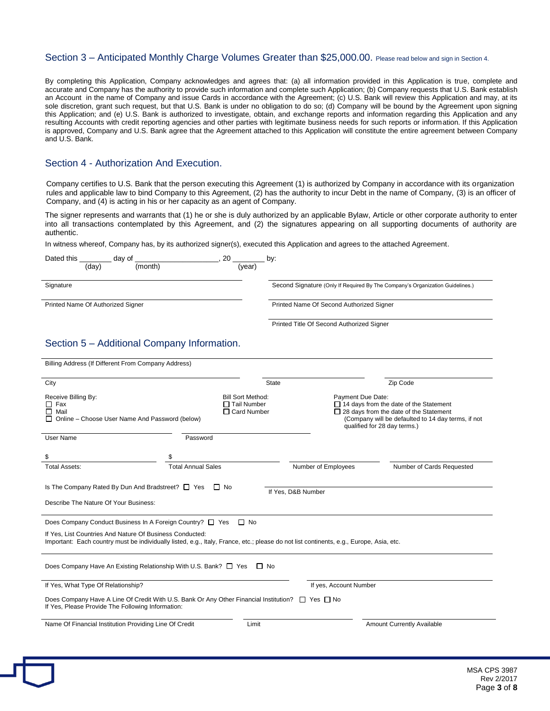### Section 3 – Anticipated Monthly Charge Volumes Greater than [\\$25,000.00](https://25,000.00). Please read below and sign in Section 4.

 By completing this Application, Company acknowledges and agrees that: (a) all information provided in this Application is true, complete and accurate and Company has the authority to provide such information and complete such Application; (b) Company requests that U.S. Bank establish an Account in the name of Company and issue Cards in accordance with the Agreement; (c) U.S. Bank will review this Application and may, at its sole discretion, grant such request, but that U.S. Bank is under no obligation to do so; (d) Company will be bound by the Agreement upon signing this Application; and (e) U.S. Bank is authorized to investigate, obtain, and exchange reports and information regarding this Application and any resulting Accounts with credit reporting agencies and other parties with legitimate business needs for such reports or information. If this Application is approved, Company and U.S. Bank agree that the Agreement attached to this Application will constitute the entire agreement between Company and U.S. Bank.

## Section 4 - Authorization And Execution.

 Company certifies to U.S. Bank that the person executing this Agreement (1) is authorized by Company in accordance with its organization rules and applicable law to bind Company to this Agreement, (2) has the authority to incur Debt in the name of Company, (3) is an officer of Company, and (4) is acting in his or her capacity as an agent of Company.

 The signer represents and warrants that (1) he or she is duly authorized by an applicable Bylaw, Article or other corporate authority to enter into all transactions contemplated by this Agreement, and (2) the signatures appearing on all supporting documents of authority are

authentic.<br>In witness whereof, Company has, by its authorized signer(s), executed this Application and agrees to the attached Agreement.

| Dated this                        | (day) | day of<br>(month) | 20<br>(vear) | by:                                                                           |
|-----------------------------------|-------|-------------------|--------------|-------------------------------------------------------------------------------|
| Signature                         |       |                   |              | Second Signature (Only If Required By The Company's Organization Guidelines.) |
| Printed Name Of Authorized Signer |       |                   |              | Printed Name Of Second Authorized Signer                                      |
|                                   |       |                   |              | Printed Title Of Second Authorized Signer                                     |

## Section 5 – Additional Company Information.

| City                                              |                                                                                                                                                                                                                                                                  | <b>State</b>                                                         |                        | Zip Code                                                                                                                                                                             |
|---------------------------------------------------|------------------------------------------------------------------------------------------------------------------------------------------------------------------------------------------------------------------------------------------------------------------|----------------------------------------------------------------------|------------------------|--------------------------------------------------------------------------------------------------------------------------------------------------------------------------------------|
| Receive Billing By:<br>Fax<br>П.<br>Mail<br>ΙI    | Online - Choose User Name And Password (below)                                                                                                                                                                                                                   | <b>Bill Sort Method:</b><br>$\Box$ Tail Number<br>$\Box$ Card Number | Payment Due Date:      | $\Box$ 14 days from the date of the Statement<br>$\Box$ 28 days from the date of the Statement<br>(Company will be defaulted to 14 day terms, if not<br>qualified for 28 day terms.) |
| User Name                                         | Password                                                                                                                                                                                                                                                         |                                                                      |                        |                                                                                                                                                                                      |
| \$                                                | \$                                                                                                                                                                                                                                                               |                                                                      |                        |                                                                                                                                                                                      |
| <b>Total Assets:</b>                              | <b>Total Annual Sales</b>                                                                                                                                                                                                                                        |                                                                      | Number of Employees    | Number of Cards Requested                                                                                                                                                            |
| Describe The Nature Of Your Business:             | Is The Company Rated By Dun And Bradstreet? □ Yes                                                                                                                                                                                                                | $\Box$ No                                                            | If Yes, D&B Number     |                                                                                                                                                                                      |
|                                                   | Does Company Conduct Business In A Foreign Country? □ Yes<br>If Yes. List Countries And Nature Of Business Conducted:<br>Important: Each country must be individually listed, e.g., Italy, France, etc.; please do not list continents, e.g., Europe, Asia, etc. | $\Box$ No                                                            |                        |                                                                                                                                                                                      |
|                                                   | Does Company Have An Existing Relationship With U.S. Bank? □ Yes                                                                                                                                                                                                 | IINo                                                                 |                        |                                                                                                                                                                                      |
| If Yes, What Type Of Relationship?                |                                                                                                                                                                                                                                                                  |                                                                      | If yes, Account Number |                                                                                                                                                                                      |
| If Yes, Please Provide The Following Information: | Does Company Have A Line Of Credit With U.S. Bank Or Any Other Financial Institution? $\square$ Yes $\square$ No                                                                                                                                                 |                                                                      |                        |                                                                                                                                                                                      |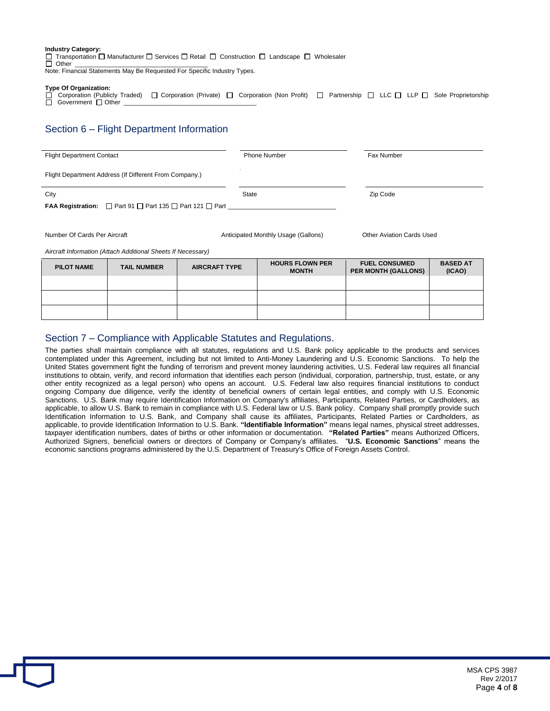### **Industry Category:**

Transportation  $\square$  Manufacturer  $\square$  Services  $\square$  Retail  $\square$  Construction  $\square$  Landscape  $\square$  Wholesaler □ Other \_\_\_\_\_\_\_\_\_\_\_\_\_\_\_\_\_\_\_\_\_\_\_\_\_\_\_\_\_\_\_\_\_\_\_\_\_\_

□ Note: Financial Statements May Be Requested For Specific Industry Types.

### **Type Of Organization:**

 $\square$  Corporation (Publicly Traded)  $\square$  Corporation (Private)  $\square$  Corpor Corporation (Publicly Traded) D Corporation (Private) D Corporation (Non Profit) D Partnership D LLC D LLP D Sole Proprietorship

## Section 6 – Flight Department Information

| <b>Flight Department Contact</b> |                                                                              |                      | <b>Phone Number</b>                    | Fax Number                                         |                           |
|----------------------------------|------------------------------------------------------------------------------|----------------------|----------------------------------------|----------------------------------------------------|---------------------------|
|                                  | Flight Department Address (If Different From Company.)                       |                      |                                        |                                                    |                           |
| City                             |                                                                              | State                |                                        | Zip Code                                           |                           |
|                                  | FAA Registration: $\Box$ Part 91 $\Box$ Part 135 $\Box$ Part 121 $\Box$ Part |                      |                                        |                                                    |                           |
|                                  |                                                                              |                      |                                        |                                                    |                           |
| Number Of Cards Per Aircraft     |                                                                              |                      | Anticipated Monthly Usage (Gallons)    | <b>Other Aviation Cards Used</b>                   |                           |
|                                  | Aircraft Information (Attach Additional Sheets If Necessary)                 |                      |                                        |                                                    |                           |
| <b>PILOT NAME</b>                | <b>TAIL NUMBER</b>                                                           | <b>AIRCRAFT TYPE</b> | <b>HOURS FLOWN PER</b><br><b>MONTH</b> | <b>FUEL CONSUMED</b><br><b>PER MONTH (GALLONS)</b> | <b>BASED AT</b><br>(ICAO) |

# Section 7 – Compliance with Applicable Statutes and Regulations.

 The parties shall maintain compliance with all statutes, regulations and U.S. Bank policy applicable to the products and services contemplated under this Agreement, including but not limited to Anti-Money Laundering and U.S. Economic Sanctions. To help the United States government fight the funding of terrorism and prevent money laundering activities, U.S. Federal law requires all financial institutions to obtain, verify, and record information that identifies each person (individual, corporation, partnership, trust, estate, or any other entity recognized as a legal person) who opens an account. U.S. Federal law also requires financial institutions to conduct ongoing Company due diligence, verify the identity of beneficial owners of certain legal entities, and comply with U.S. Economic Sanctions. U.S. Bank may require Identification Information on Company's affiliates, Participants, Related Parties, or Cardholders, as applicable, to provide Identification Information to U.S. Bank. **"Identifiable Information"** means legal names, physical street addresses, taxpayer identification numbers, dates of births or other information or documentation. **"Related Parties"** means Authorized Officers, Authorized Signers, beneficial owners or directors of Company or Company's affiliates. "**U.S. Economic Sanctions**" means the economic sanctions programs administered by the U.S. Department of Treasury's Office of Foreign Assets Control. applicable, to allow U.S. Bank to remain in compliance with U.S. Federal law or U.S. Bank policy. Company shall promptly provide such Identification Information to U.S. Bank, and Company shall cause its affiliates, Participants, Related Parties or Cardholders, as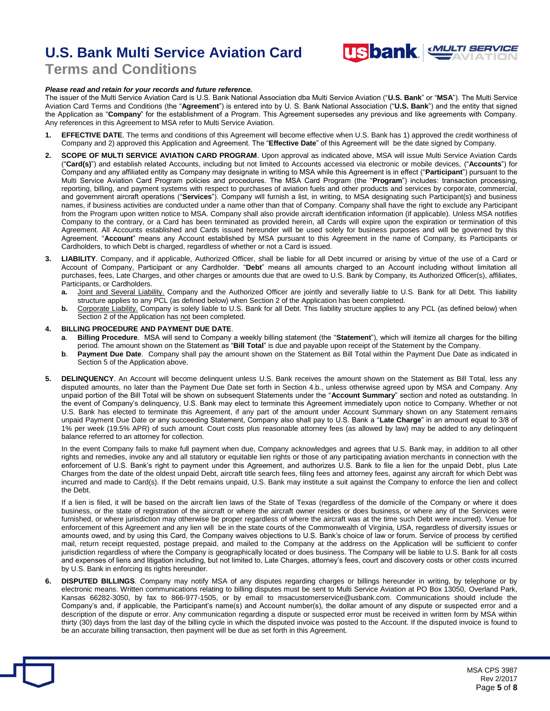# **U.S. Bank Multi Service Aviation Card <b>USbank** WILTI SERVICE



## **Terms and Conditions**

### *Please read and retain for your records and future reference.*

 The issuer of the Multi Service Aviation Card is U.S. Bank National Association dba Multi Service Aviation ("**U.S. Bank**" or "**MSA**"). The Multi Service Aviation Card Terms and Conditions (the "**Agreement**") is entered into by U. S. Bank National Association ("**U.S. Bank**") and the entity that signed the Application as "**Company**" for the establishment of a Program. This Agreement supersedes any previous and like agreements with Company. Any references in this Agreement to MSA refer to Multi Service Aviation.

- **1. EFFECTIVE DATE**. The terms and conditions of this Agreement will become effective when U.S. Bank has 1) approved the credit worthiness of Company and 2) approved this Application and Agreement. The "**Effective Date**" of this Agreement will be the date signed by Company.
- **2. SCOPE OF MULTI SERVICE AVIATION CARD PROGRAM**. Upon approval as indicated above, MSA will issue Multi Service Aviation Cards ("**Card(s)**") and establish related Accounts, including but not limited to Accounts accessed via electronic or mobile devices, ("**Accounts**") for Company and any affiliated entity as Company may designate in writing to MSA while this Agreement is in effect ("**Participant**") pursuant to the Multi Service Aviation Card Program policies and procedures. The MSA Card Program (the "**Program**") includes: transaction processing, reporting, billing, and payment systems with respect to purchases of aviation fuels and other products and services by corporate, commercial, and government aircraft operations ("**Services**"). Company will furnish a list, in writing, to MSA designating such Participant(s) and business names, if business activities are conducted under a name other than that of Company. Company shall have the right to exclude any Participant from the Program upon written notice to MSA. Company shall also provide aircraft identification information (if applicable). Unless MSA notifies Company to the contrary, or a Card has been terminated as provided herein, all Cards will expire upon the expiration or termination of this Agreement. All Accounts established and Cards issued hereunder will be used solely for business purposes and will be governed by this Agreement. "**Account**" means any Account established by MSA pursuant to this Agreement in the name of Company, its Participants or Cardholders, to which Debt is charged, regardless of whether or not a Card is issued.
- Account of Company, Participant or any Cardholder. "**Debt**" means all amounts charged to an Account including without limitation all purchases, fees, Late Charges, and other charges or amounts due that are owed to U.S. Bank by Company, its Authorized Officer(s), affiliates, Participants, or Cardholders. **3. LIABILITY**. Company, and if applicable, Authorized Officer, shall be liable for all Debt incurred or arising by virtue of the use of a Card or
	- a. structure applies to any PCL (as defined below) when Section 2 of the Application has been completed. **a.** Joint and Several Liability. Company and the Authorized Officer are jointly and severally liable to U.S. Bank for all Debt. This liability
	- $\mathbf{b}$ . Section 2 of the Application has not been completed. Corporate Liability. Company is solely liable to U.S. Bank for all Debt. This liability structure applies to any PCL (as defined below) when

### **4. BILLING PROCEDURE AND PAYMENT DUE DATE**.

- **a**. **Billing Procedure**. MSA will send to Company a weekly billing statement (the "**Statement**"), which will itemize all charges for the billing period. The amount shown on the Statement as "**Bill Total**" is due and payable upon receipt of the Statement by the Company.
- **b**. **Payment Due Date**. Company shall pay the amount shown on the Statement as Bill Total within the Payment Due Date as indicated in Section 5 of the Application above.
- disputed amounts, no later than the Payment Due Date set forth in Section 4.b., unless otherwise agreed upon by MSA and Company. Any unpaid portion of the Bill Total will be shown on subsequent Statements under the "**Account Summary**" section and noted as outstanding. In the event of Company's delinquency, U.S. Bank may elect to terminate this Agreement immediately upon notice to Company. Whether or not U.S. Bank has elected to terminate this Agreement, if any part of the amount under Account Summary shown on any Statement remains unpaid Payment Due Date or any succeeding Statement, Company also shall pay to U.S. Bank a "**Late Charge**" in an amount equal to 3/8 of 1% per week (19.5% APR) of such amount. Court costs plus reasonable attorney fees (as allowed by law) may be added to any delinquent balance referred to an attorney for collection. **5. DELINQUENCY**. An Account will become delinquent unless U.S. Bank receives the amount shown on the Statement as Bill Total, less any

 In the event Company fails to make full payment when due, Company acknowledges and agrees that U.S. Bank may, in addition to all other rights and remedies, invoke any and all statutory or equitable lien rights or those of any participating aviation merchants in connection with the enforcement of U.S. Bank's right to payment under this Agreement, and authorizes U.S. Bank to file a lien for the unpaid Debt, plus Late Charges from the date of the oldest unpaid Debt, aircraft title search fees, filing fees and attorney fees, against any aircraft for which Debt was incurred and made to Card(s). If the Debt remains unpaid, U.S. Bank may institute a suit against the Company to enforce the lien and collect the Debt.

 If a lien is filed, it will be based on the aircraft lien laws of the State of Texas (regardless of the domicile of the Company or where it does business, or the state of registration of the aircraft or where the aircraft owner resides or does business, or where any of the Services were furnished, or where jurisdiction may otherwise be proper regardless of where the aircraft was at the time such Debt were incurred). Venue for enforcement of this Agreement and any lien will be in the state courts of the Commonwealth of Virginia, USA, regardless of diversity issues or amounts owed, and by using this Card, the Company waives objections to U.S. Bank's choice of law or forum. Service of process by certified mail, return receipt requested, postage prepaid, and mailed to the Company at the address on the Application will be sufficient to confer jurisdiction regardless of where the Company is geographically located or does business. The Company will be liable to U.S. Bank for all costs and expenses of liens and litigation including, but not limited to, Late Charges, attorney's fees, court and discovery costs or other costs incurred by U.S. Bank in enforcing its rights hereunder.

 electronic means. Written communications relating to billing disputes must be sent to Multi Service Aviation at PO Box 13050, Overland Park, Kansas 66282-3050, by fax to 866-977-1505, or by email to [msacustomerservice@usbank.com](mailto:msacustomerservice@usbank.com). Communications should include the Company's and, if applicable, the Participant's name(s) and Account number(s), the dollar amount of any dispute or suspected error and a description of the dispute or error. Any communication regarding a dispute or suspected error must be received in written form by MSA within thirty (30) days from the last day of the billing cycle in which the disputed invoice was posted to the Account. If the disputed invoice is found to be an accurate billing transaction, then payment will be due as set forth in this Agreement. **DISPUTED BILLINGS**. Company may notify MSA of any disputes regarding charges or billings hereunder in writing, by telephone or by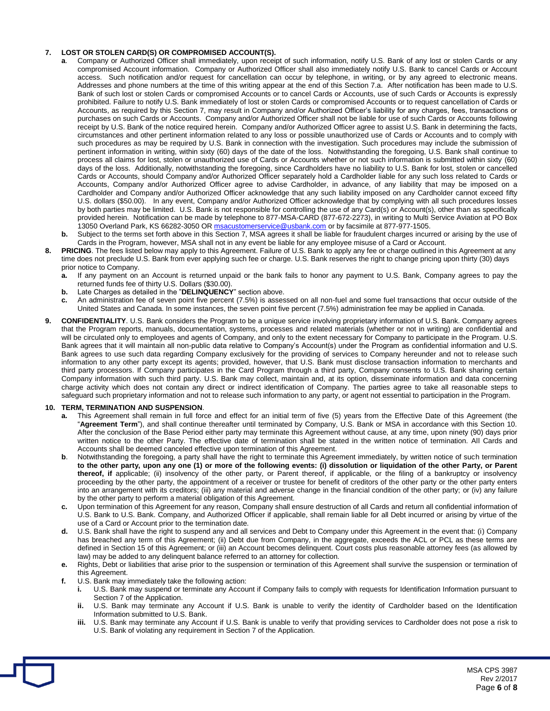### **7. LOST OR STOLEN CARD(S) OR COMPROMISED ACCOUNT(S).**

- **a**. Company or Authorized Officer shall immediately, upon receipt of such information, notify U.S. Bank of any lost or stolen Cards or any compromised Account information. Company or Authorized Officer shall also immediately notify U.S. Bank to cancel Cards or Account access. Such notification and/or request for cancellation can occur by telephone, in writing, or by any agreed to electronic means. Addresses and phone numbers at the time of this writing appear at the end of this Section 7.a. After notification has been made to U.S. Bank of such lost or stolen Cards or compromised Accounts or to cancel Cards or Accounts, use of such Cards or Accounts is expressly prohibited. Failure to notify U.S. Bank immediately of lost or stolen Cards or compromised Accounts or to request cancellation of Cards or Accounts, as required by this Section 7, may result in Company and/or Authorized Officer's liability for any charges, fees, transactions or purchases on such Cards or Accounts. Company and/or Authorized Officer shall not be liable for use of such Cards or Accounts following receipt by U.S. Bank of the notice required herein. Company and/or Authorized Officer agree to assist U.S. Bank in determining the facts, circumstances and other pertinent information related to any loss or possible unauthorized use of Cards or Accounts and to comply with such procedures as may be required by U.S. Bank in connection with the investigation. Such procedures may include the submission of pertinent information in writing, within sixty (60) days of the date of the loss. Notwithstanding the foregoing, U.S. Bank shall continue to process all claims for lost, stolen or unauthorized use of Cards or Accounts whether or not such information is submitted within sixty (60) days of the loss. Additionally, notwithstanding the foregoing, since Cardholders have no liability to U.S. Bank for lost, stolen or cancelled Cards or Accounts, should Company and/or Authorized Officer separately hold a Cardholder liable for any such loss related to Cards or Accounts, Company and/or Authorized Officer agree to advise Cardholder, in advance, of any liability that may be imposed on a Cardholder and Company and/or Authorized Officer acknowledge that any such liability imposed on any Cardholder cannot exceed fifty U.S. dollars (\$50.00). In any event, Company and/or Authorized Officer acknowledge that by complying with all such procedures losses by both parties may be limited. U.S. Bank is not responsible for controlling the use of any Card(s) or Account(s), other than as specifically provided herein. Notification can be made by telephone to 877-MSA-CARD (877-672-2273), in writing to Multi Service Aviation at PO Box 13050 Overland Park, KS 66282-3050 O[R msacustomerservice@usbank.com](mailto:msacustomerservice@usbank.com) or by facsimile at 877-977-1505.
- b. Cards in the Program, however, MSA shall not in any event be liable for any employee misuse of a Card or Account. **b.** Subject to the terms set forth above in this Section 7, MSA agrees it shall be liable for fraudulent charges incurred or arising by the use of
- time does not preclude U.S. Bank from ever applying such fee or charge. U.S. Bank reserves the right to change pricing upon thirty (30) days prior notice to Company. **8. PRICING**. The fees listed below may apply to this Agreement. Failure of U.S. Bank to apply any fee or charge outlined in this Agreement at any
	- returned funds fee of thirty U.S. Dollars (\$30.00). **a.** If any payment on an Account is returned unpaid or the bank fails to honor any payment to U.S. Bank, Company agrees to pay the
	- $h$ Late Charges as detailed in the "**DELINQUENCY**" section above.
	- c. United States and Canada. In some instances, the seven point five percent (7.5%) administration fee may be applied in Canada. **c.** An administration fee of seven point five percent (7.5%) is assessed on all non-fuel and some fuel transactions that occur outside of the
- **9. CONFIDENTIALITY**. U.S. Bank considers the Program to be a unique service involving proprietary information of U.S. Bank. Company agrees that the Program reports, manuals, documentation, systems, processes and related materials (whether or not in writing) are confidential and will be circulated only to employees and agents of Company, and only to the extent necessary for Company to participate in the Program. U.S. Bank agrees that it will maintain all non-public data relative to Company's Account(s) under the Program as confidential information and U.S. Bank agrees to use such data regarding Company exclusively for the providing of services to Company hereunder and not to release such information to any other party except its agents; provided, however, that U.S. Bank must disclose transaction information to merchants and third party processors. If Company participates in the Card Program through a third party, Company consents to U.S. Bank sharing certain Company information with such third party. U.S. Bank may collect, maintain and, at its option, disseminate information and data concerning charge activity which does not contain any direct or indirect identification of Company. The parties agree to take all reasonable steps to safeguard such proprietary information and not to release such information to any party, or agent not essential to participation in the Program.

### **10. TERM, TERMINATION AND SUSPENSION**.

- $a^{\dagger}$  "**Agreement Term**"), and shall continue thereafter until terminated by Company, U.S. Bank or MSA in accordance with this Section 10. After the conclusion of the Base Period either party may terminate this Agreement without cause, at any time, upon ninety (90) days prior written notice to the other Party. The effective date of termination shall be stated in the written notice of termination. All Cards and Accounts shall be deemed canceled effective upon termination of this Agreement. **a.** This Agreement shall remain in full force and effect for an initial term of five (5) years from the Effective Date of this Agreement (the
- $\mathbf{b}$ .  **to the other party, upon any one (1) or more of the following events: (i) dissolution or liquidation of the other Party, or Parent thereof, if** applicable; (ii) insolvency of the other party, or Parent thereof, if applicable, or the filing of a bankruptcy or insolvency proceeding by the other party, the appointment of a receiver or trustee for benefit of creditors of the other party or the other party enters into an arrangement with its creditors; (iii) any material and adverse change in the financial condition of the other party; or (iv) any failure by the other party to perform a material obligation of this Agreement. **b**. Notwithstanding the foregoing, a party shall have the right to terminate this Agreement immediately, by written notice of such termination
- U.S. Bank to U.S. Bank. Company, and Authorized Officer if applicable, shall remain liable for all Debt incurred or arising by virtue of the use of a Card or Account prior to the termination date. **c.** Upon termination of this Agreement for any reason, Company shall ensure destruction of all Cards and return all confidential information of
- $d_{-}$  has breached any term of this Agreement; (ii) Debt due from Company, in the aggregate, exceeds the ACL or PCL as these terms are defined in Section 15 of this Agreement; or (iii) an Account becomes delinquent. Court costs plus reasonable attorney fees (as allowed by law) may be added to any delinquent balance referred to an attorney for collection. **d.** U.S. Bank shall have the right to suspend any and all services and Debt to Company under this Agreement in the event that: (i) Company
- $e<sub>1</sub>$ **e.** Rights, Debt or liabilities that arise prior to the suspension or termination of this Agreement shall survive the suspension or termination of this Agreement.
- **f.** U.S. Bank may immediately take the following action:
	- i. Section 7 of the Application. **i.** U.S. Bank may suspend or terminate any Account if Company fails to comply with requests for Identification Information pursuant to
	- ii. Information submitted to U.S. Bank. U.S. Bank may terminate any Account if U.S. Bank is unable to verify the identity of Cardholder based on the Identification
	- iii - U.S. Bank of violating any requirement in Section 7 of the Application. U.S. Bank may terminate any Account if U.S. Bank is unable to verify that providing services to Cardholder does not pose a risk to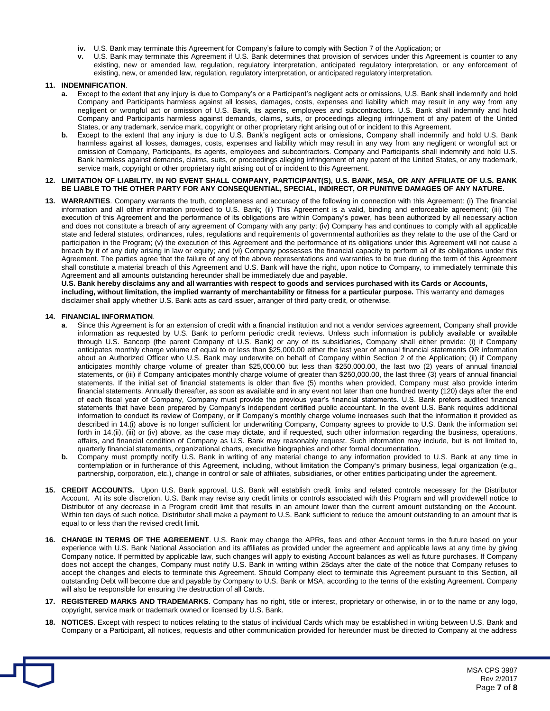- **iv.** U.S. Bank may terminate this Agreement for Company's failure to comply with Section 7 of the Application; or
- **v.** U.S. Bank may terminate this Agreement if U.S. Bank determines that provision of services under this Agreement is counter to any existing, new or amended law, regulation, regulatory interpretation, anticipated regulatory interpretation, or any enforcement of existing, new, or amended law, regulation, regulatory interpretation, or anticipated regulatory interpretation.

### **11. INDEMNIFICATION**.

- **a.** Except to the extent that any injury is due to Company's or a Participant's negligent acts or omissions, U.S. Bank shall indemnify and hold Company and Participants harmless against all losses, damages, costs, expenses and liability which may result in any way from any negligent or wrongful act or omission of U.S. Bank, its agents, employees and subcontractors. U.S. Bank shall indemnify and hold Company and Participants harmless against demands, claims, suits, or proceedings alleging infringement of any patent of the United States, or any trademark, service mark, copyright or other proprietary right arising out of or incident to this Agreement.
- **b.** Except to the extent that any injury is due to U.S. Bank's negligent acts or omissions, Company shall indemnify and hold U.S. Bank harmless against all losses, damages, costs, expenses and liability which may result in any way from any negligent or wrongful act or omission of Company, Participants, its agents, employees and subcontractors. Company and Participants shall indemnify and hold U.S. Bank harmless against demands, claims, suits, or proceedings alleging infringement of any patent of the United States, or any trademark, service mark, copyright or other proprietary right arising out of or incident to this Agreement.

### **12. LIMITATION OF LIABILITY. IN NO EVENT SHALL COMPANY, PARTICIPANT(S), U.S. BANK, MSA, OR ANY AFFILIATE OF U.S. BANK BE LIABLE TO THE OTHER PARTY FOR ANY CONSEQUENTIAL, SPECIAL, INDIRECT, OR PUNITIVE DAMAGES OF ANY NATURE.**

 **13. WARRANTIES**. Company warrants the truth, completeness and accuracy of the following in connection with this Agreement: (i) The financial information and all other information provided to U.S. Bank; (ii) This Agreement is a valid, binding and enforceable agreement; (iii) The execution of this Agreement and the performance of its obligations are within Company's power, has been authorized by all necessary action and does not constitute a breach of any agreement of Company with any party; (iv) Company has and continues to comply with all applicable state and federal statutes, ordinances, rules, regulations and requirements of governmental authorities as they relate to the use of the Card or participation in the Program; (v) the execution of this Agreement and the performance of its obligations under this Agreement will not cause a breach by it of any duty arising in law or equity; and (vi) Company possesses the financial capacity to perform all of its obligations under this Agreement. The parties agree that the failure of any of the above representations and warranties to be true during the term of this Agreement shall constitute a material breach of this Agreement and U.S. Bank will have the right, upon notice to Company, to immediately terminate this Agreement and all amounts outstanding hereunder shall be immediately due and payable.

 **U.S. Bank hereby disclaims any and all warranties with respect to goods and services purchased with its Cards or Accounts, including, without limitation, the implied warranty of merchantability or fitness for a particular purpose.** This warranty and damages disclaimer shall apply whether U.S. Bank acts as card issuer, arranger of third party credit, or otherwise.

### **14. FINANCIAL INFORMATION**.

- a. information as requested by U.S. Bank to perform periodic credit reviews. Unless such information is publicly available or available through U.S. Bancorp (the parent Company of U.S. Bank) or any of its subsidiaries, Company shall either provide: (i) if Company anticipates monthly charge volume of equal to or less than \$[25,000.00](https://25,000.00) either the last year of annual financial statements OR information about an Authorized Officer who U.S. Bank may underwrite on behalf of Company within Section 2 of the Application; (ii) if Company anticipates monthly charge volume of greater than \$[25,000.00](https://25,000.00) but less than \$[250,000.00,](https://250,000.00) the last two (2) years of annual financial statements, or (iii) if Company anticipates monthly charge volume of greater than [\\$250,000.00](https://250,000.00), the last three (3) years of annual financial statements. If the initial set of financial statements is older than five (5) months when provided, Company must also provide interim financial statements. Annually thereafter, as soon as available and in any event not later than one hundred twenty (120) days after the end of each fiscal year of Company, Company must provide the previous year's financial statements. U.S. Bank prefers audited financial statements that have been prepared by Company's independent certified public accountant. In the event U.S. Bank requires additional information to conduct its review of Company, or if Company's monthly charge volume increases such that the information it provided as described in 14.(i) above is no longer sufficient for underwriting Company, Company agrees to provide to U.S. Bank the information set forth in 14.(ii), (iii) or (iv) above, as the case may dictate, and if requested, such other information regarding the business, operations, affairs, and financial condition of Company as U.S. Bank may reasonably request. Such information may include, but is not limited to, quarterly financial statements, organizational charts, executive biographies and other formal documentation. Since this Agreement is for an extension of credit with a financial institution and not a vendor services agreement, Company shall provide
- **b.** Company must promptly notify U.S. Bank in writing of any material change to any information provided to U.S. Bank at any time in contemplation or in furtherance of this Agreement, including, without limitation the Company's primary business, legal organization (e.g., partnership, corporation, etc.), change in control or sale of affiliates, subsidiaries, or other entities participating under the agreement.
- **15. CREDIT ACCOUNTS.** Upon U.S. Bank approval, U.S. Bank will establish credit limits and related controls necessary for the Distributor Account. At its sole discretion, U.S. Bank may revise any credit limits or controls associated with this Program and will providewell notice to Distributor of any decrease in a Program credit limit that results in an amount lower than the current amount outstanding on the Account. Within ten days of such notice, Distributor shall make a payment to U.S. Bank sufficient to reduce the amount outstanding to an amount that is equal to or less than the revised credit limit.
- **16. CHANGE IN TERMS OF THE AGREEMENT**. U.S. Bank may change the APRs, fees and other Account terms in the future based on your experience with U.S. Bank National Association and its affiliates as provided under the agreement and applicable laws at any time by giving Company notice. If permitted by applicable law, such changes will apply to existing Account balances as well as future purchases. If Company does not accept the changes, Company must notify U.S. Bank in writing within 25days after the date of the notice that Company refuses to accept the changes and elects to terminate this Agreement. Should Company elect to terminate this Agreement pursuant to this Section, all outstanding Debt will become due and payable by Company to U.S. Bank or MSA, according to the terms of the existing Agreement. Company will also be responsible for ensuring the destruction of all Cards.
- **17. REGISTERED MARKS AND TRADEMARKS**. Company has no right, title or interest, proprietary or otherwise, in or to the name or any logo, copyright, service mark or trademark owned or licensed by U.S. Bank.
- **18. NOTICES**. Except with respect to notices relating to the status of individual Cards which may be established in writing between U.S. Bank and Company or a Participant, all notices, requests and other communication provided for hereunder must be directed to Company at the address